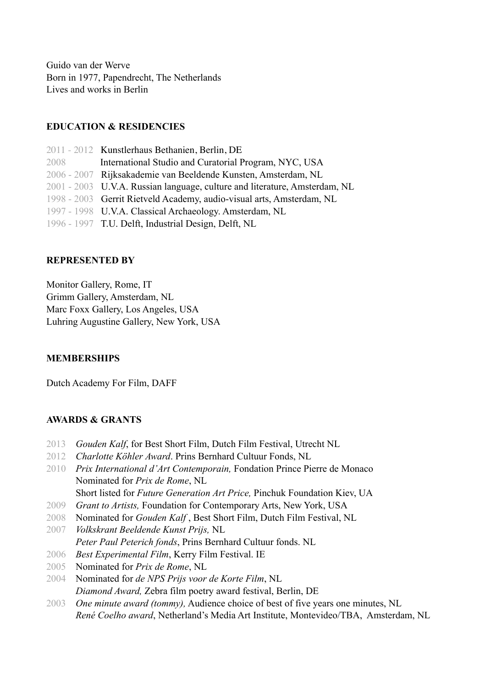Guido van der Werve Born in 1977, Papendrecht, The Netherlands Lives and works in Berlin

# **EDUCATION & RESIDENCIES**

|      | 2011 - 2012 Kunstlerhaus Bethanien, Berlin, DE                             |
|------|----------------------------------------------------------------------------|
| 2008 | International Studio and Curatorial Program, NYC, USA                      |
|      | 2006 - 2007 Rijksakademie van Beeldende Kunsten, Amsterdam, NL             |
|      | 2001 - 2003 U.V.A. Russian language, culture and literature, Amsterdam, NL |
|      | 1998 - 2003 Gerrit Rietveld Academy, audio-visual arts, Amsterdam, NL      |
|      | 1997 - 1998 U.V.A. Classical Archaeology. Amsterdam, NL                    |
|      | 1996 - 1997 T.U. Delft, Industrial Design, Delft, NL                       |

#### **REPRESENTED BY**

Monitor Gallery, Rome, IT Grimm Gallery, Amsterdam, NL Marc Foxx Gallery, Los Angeles, USA Luhring Augustine Gallery, New York, USA

#### **MEMBERSHIPS**

Dutch Academy For Film, DAFF

#### **AWARDS & GRANTS**

- 2013 *Gouden Kalf*, for Best Short Film, Dutch Film Festival, Utrecht NL
- 2012 *Charlotte Köhler Award*. Prins Bernhard Cultuur Fonds, NL
- 2010 *Prix International d'Art Contemporain,* Fondation Prince Pierre de Monaco Nominated for *Prix de Rome*, NL

Short listed for *Future Generation Art Price,* Pinchuk Foundation Kiev, UA

- 2009 *Grant to Artists,* Foundation for Contemporary Arts, New York, USA
- 2008 Nominated for *Gouden Kalf* , Best Short Film, Dutch Film Festival, NL
- 2007 *Volkskrant Beeldende Kunst Prijs,* NL *Peter Paul Peterich fonds*, Prins Bernhard Cultuur fonds. NL
- 
- 2006 *Best Experimental Film*, Kerry Film Festival. IE
- 2005 Nominated for *Prix de Rome*, NL
- 2004 Nominated for *de NPS Prijs voor de Korte Film*, NL *Diamond Award,* Zebra film poetry award festival, Berlin, DE
- 2003 *One minute award (tommy),* Audience choice of best of five years one minutes, NL *René Coelho award*, Netherland's Media Art Institute, Montevideo/TBA, Amsterdam, NL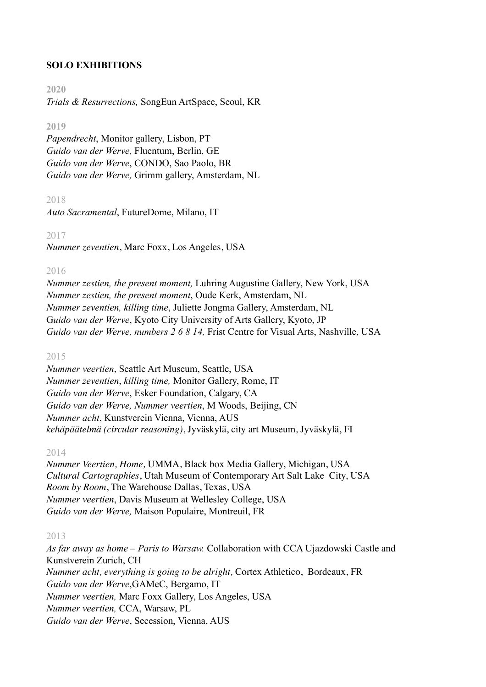# **SOLO EXHIBITIONS**

#### **2020**

*Trials & Resurrections,* SongEun ArtSpace, Seoul, KR

#### **2019**

*Papendrecht*, Monitor gallery, Lisbon, PT *Guido van der Werve,* Fluentum, Berlin, GE *Guido van der Werve*, CONDO, Sao Paolo, BR *Guido van der Werve,* Grimm gallery, Amsterdam, NL

# 2018

*Auto Sacramental*, FutureDome, Milano, IT

#### 2017

*Nummer zeventien*, Marc Foxx, Los Angeles, USA

#### 2016

*Nummer zestien, the present moment,* Luhring Augustine Gallery, New York, USA *Nummer zestien, the present moment*, Oude Kerk, Amsterdam, NL *Nummer zeventien, killing time*, Juliette Jongma Gallery, Amsterdam, NL G*uido van der Werve*, Kyoto City University of Arts Gallery, Kyoto, JP *Guido van der Werve, numbers 2 6 8 14,* Frist Centre for Visual Arts, Nashville, USA

#### 2015

*Nummer veertien*, Seattle Art Museum, Seattle, USA *Nummer zeventien*, *killing time,* Monitor Gallery, Rome, IT *Guido van der Werve*, Esker Foundation, Calgary, CA *Guido van der Werve, Nummer veertien*, M Woods, Beijing, CN *Nummer acht*, Kunstverein Vienna, Vienna, AUS *kehäpäätelmä (circular reasoning)*, Jyväskylä, city art Museum, Jyväskylä, FI

#### 2014

*Nummer Veertien, Home,* UMMA, Black box Media Gallery, Michigan, USA *Cultural Cartographies*, Utah Museum of Contemporary Art Salt Lake City, USA *Room by Room*, The Warehouse Dallas, Texas, USA *Nummer veertien*, Davis Museum at Wellesley College, USA *Guido van der Werve,* Maison Populaire, Montreuil, FR

# 2013

*As far away as home – Paris to Warsaw.* Collaboration with CCA Ujazdowski Castle and Kunstverein Zurich, CH *Nummer acht, everything is going to be alright,* Cortex Athletico, Bordeaux, FR *Guido van der Werve*,GAMeC, Bergamo, IT *Nummer veertien,* Marc Foxx Gallery, Los Angeles, USA *Nummer veertien,* CCA, Warsaw, PL *Guido van der Werve*, Secession, Vienna, AUS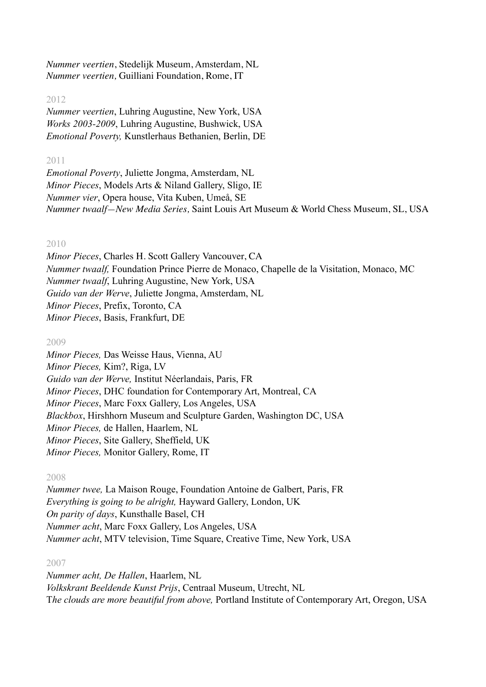*Nummer veertien*, Stedelijk Museum, Amsterdam, NL *Nummer veertien,* Guilliani Foundation, Rome, IT

# 2012

*Nummer veertien*, Luhring Augustine, New York, USA *Works 2003-2009*, Luhring Augustine, Bushwick, USA *Emotional Poverty,* Kunstlerhaus Bethanien, Berlin, DE

### 2011

*Emotional Poverty*, Juliette Jongma, Amsterdam, NL *Minor Pieces*, Models Arts & Niland Gallery, Sligo, IE *Nummer vier*, Opera house, Vita Kuben, Umeå, SE *Nummer twaalf—New Media Series,* Saint Louis Art Museum & World Chess Museum, SL, USA

# 2010

*Minor Pieces*, Charles H. Scott Gallery Vancouver, CA *Nummer twaalf,* Foundation Prince Pierre de Monaco, Chapelle de la Visitation, Monaco, MC *Nummer twaalf*, Luhring Augustine, New York, USA *Guido van der Werve*, Juliette Jongma, Amsterdam, NL *Minor Pieces*, Prefix, Toronto, CA *Minor Pieces*, Basis, Frankfurt, DE

# 2009

*Minor Pieces,* Das Weisse Haus, Vienna, AU *Minor Pieces,* Kim?, Riga, LV *Guido van der Werve,* Institut Néerlandais, Paris, FR *Minor Pieces*, DHC foundation for Contemporary Art, Montreal, CA *Minor Pieces*, Marc Foxx Gallery, Los Angeles, USA *Blackbox*, Hirshhorn Museum and Sculpture Garden, Washington DC, USA *Minor Pieces,* de Hallen, Haarlem, NL *Minor Pieces*, Site Gallery, Sheffield, UK *Minor Pieces,* Monitor Gallery, Rome, IT

# 2008

*Nummer twee,* La Maison Rouge, Foundation Antoine de Galbert, Paris, FR *Everything is going to be alright,* Hayward Gallery, London, UK *On parity of days*, Kunsthalle Basel, CH *Nummer acht*, Marc Foxx Gallery, Los Angeles, USA *Nummer acht*, MTV television, Time Square, Creative Time, New York, USA

# 2007

*Nummer acht, De Hallen*, Haarlem, NL *Volkskrant Beeldende Kunst Prijs*, Centraal Museum, Utrecht, NL T*he clouds are more beautiful from above,* Portland Institute of Contemporary Art, Oregon, USA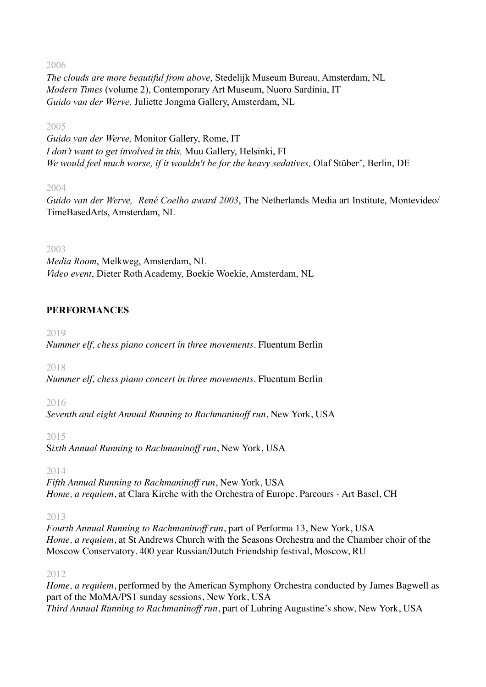2006

*The clouds are more beautiful from above*, Stedelijk Museum Bureau, Amsterdam, NL *Modern Times* (volume 2), Contemporary Art Museum, Nuoro Sardinia, IT *Guido van der Werve,* Juliette Jongma Gallery, Amsterdam, NL

# 2005

*Guido van der Werve,* Monitor Gallery, Rome, IT *I don't want to get involved in this,* Muu Gallery, Helsinki, FI *We would feel much worse, if it wouldn't be for the heavy sedatives,* Olaf Stüber', Berlin, DE

# 2004

*Guido van der Werve, René Coelho award 2003*, The Netherlands Media art Institute, Montevideo/ TimeBasedArts, Amsterdam, NL

# 2003

*Media Room*, Melkweg, Amsterdam, NL *Video event*, Dieter Roth Academy, Boekie Woekie, Amsterdam, NL

# **PERFORMANCES**

2019

*Nummer elf, chess piano concert in three movements*. Fluentum Berlin

2018

*Nummer elf, chess piano concert in three movements*. Fluentum Berlin

# 2016

*Seventh and eight Annual Running to Rachmaninoff run*, New York, USA

# 2015

S*ixth Annual Running to Rachmaninoff run*, New York, USA

# 2014

*Fifth Annual Running to Rachmaninoff run*, New York, USA *Home, a requiem*, at Clara Kirche with the Orchestra of Europe. Parcours - Art Basel, CH

# 2013

*Fourth Annual Running to Rachmaninoff run*, part of Performa 13, New York, USA *Home, a requiem*, at St Andrews Church with the Seasons Orchestra and the Chamber choir of the Moscow Conservatory. 400 year Russian/Dutch Friendship festival, Moscow, RU

# 2012

*Home, a requiem*, performed by the American Symphony Orchestra conducted by James Bagwell as part of the MoMA/PS1 sunday sessions, New York, USA *Third Annual Running to Rachmaninoff run*, part of Luhring Augustine's show, New York, USA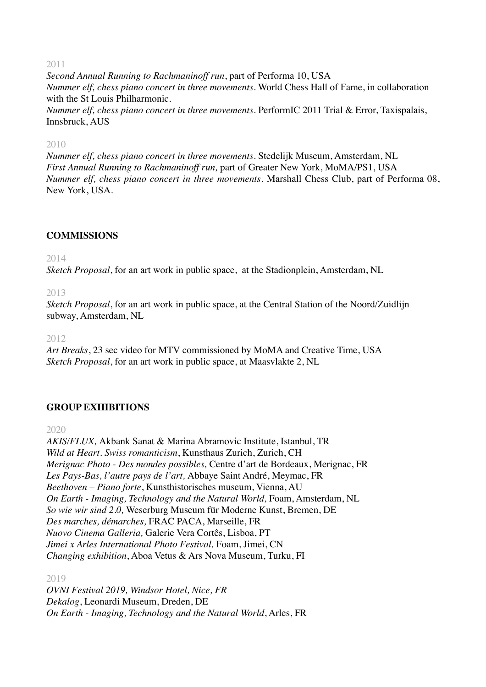2011

*Second Annual Running to Rachmaninoff run*, part of Performa 10, USA *Nummer elf, chess piano concert in three movements*. World Chess Hall of Fame, in collaboration with the St Louis Philharmonic.

*Nummer elf, chess piano concert in three movements*. PerformIC 2011 Trial & Error, Taxispalais, Innsbruck, AUS

#### 2010

*Nummer elf, chess piano concert in three movements*. Stedelijk Museum, Amsterdam, NL *First Annual Running to Rachmaninoff run,* part of Greater New York, MoMA/PS1, USA *Nummer elf, chess piano concert in three movements*. Marshall Chess Club, part of Performa 08, New York, USA.

# **COMMISSIONS**

2014

*Sketch Proposal*, for an art work in public space, at the Stadionplein, Amsterdam, NL

2013

*Sketch Proposal*, for an art work in public space, at the Central Station of the Noord/Zuidlijn subway, Amsterdam, NL

2012

*Art Breaks*, 23 sec video for MTV commissioned by MoMA and Creative Time, USA *Sketch Proposal*, for an art work in public space, at Maasvlakte 2, NL

# **GROUP EXHIBITIONS**

2020

*AKIS/FLUX,* Akbank Sanat & Marina Abramovic Institute, Istanbul, TR *Wild at Heart. Swiss romanticism*, Kunsthaus Zurich, Zurich, CH *Merignac Photo - Des mondes possibles,* Centre d'art de Bordeaux, Merignac, FR *Les Pays-Bas, l'autre pays de l'art,* Abbaye Saint André, Meymac, FR *Beethoven – Piano forte*, Kunsthistorisches museum, Vienna, AU *On Earth - Imaging, Technology and the Natural World,* Foam, Amsterdam, NL *So wie wir sind 2.0,* Weserburg Museum für Moderne Kunst, Bremen, DE *Des marches, démarches,* FRAC PACA, Marseille, FR *Nuovo Cinema Galleria,* Galerie Vera Cortês, Lisboa, PT *Jimei x Arles International Photo Festival,* Foam, Jimei, CN *Changing exhibition*, Aboa Vetus & Ars Nova Museum, Turku, FI

2019

*OVNI Festival 2019, Windsor Hotel, Nice, FR Dekalog*, Leonardi Museum, Dreden, DE *On Earth - Imaging, Technology and the Natural World*, Arles, FR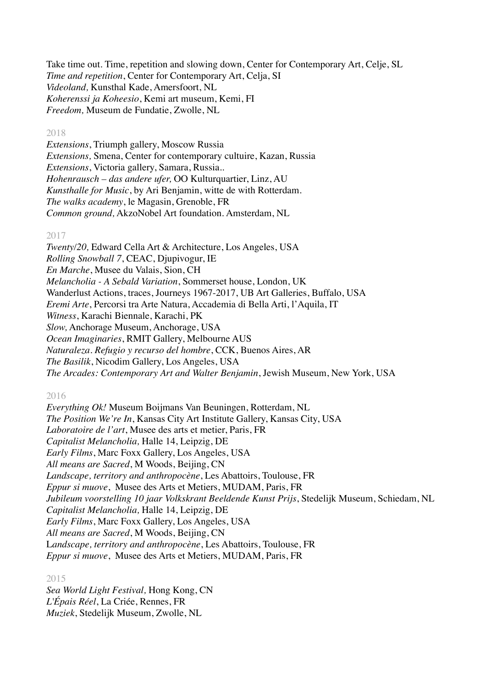Take time out. Time, repetition and slowing down, Center for Contemporary Art, Celje, SL *Time and repetition*, Center for Contemporary Art, Celja, SI *Videoland,* Kunsthal Kade, Amersfoort, NL *Koherenssi ja Koheesio*, Kemi art museum, Kemi, FI *Freedom,* Museum de Fundatie, Zwolle, NL

#### 2018

*Extensions*, Triumph gallery, Moscow Russia *Extensions,* Smena, Center for contemporary cultuire, Kazan, Russia *Extensions*, Victoria gallery, Samara, Russia.. *Hohenrausch – das andere ufer,* OO Kulturquartier, Linz, AU *Kunsthalle for Music*, by Ari Benjamin, witte de with Rotterdam. *The walks academy*, le Magasin, Grenoble, FR *Common ground,* AkzoNobel Art foundation. Amsterdam, NL

#### 2017

*Twenty/20,* Edward Cella Art & Architecture, Los Angeles, USA *Rolling Snowball 7*, CEAC, Djupivogur, IE *En Marche*, Musee du Valais, Sion, CH *Melancholia - A Sebald Variation*, Sommerset house, London, UK Wanderlust Actions, traces, Journeys 1967-2017, UB Art Galleries, Buffalo, USA *Eremi Arte*, Percorsi tra Arte Natura, Accademia di Bella Arti, l'Aquila, IT *Witness*, Karachi Biennale, Karachi, PK *Slow,* Anchorage Museum, Anchorage, USA *Ocean Imaginaries*, RMIT Gallery, Melbourne AUS *Naturaleza. Refugio y recurso del hombre*, CCK, Buenos Aires, AR *The Basilik*, Nicodim Gallery, Los Angeles, USA *The Arcades: Contemporary Art and Walter Benjamin*, Jewish Museum, New York, USA

# 2016

*Everything Ok!* Museum Boijmans Van Beuningen, Rotterdam, NL *The Position We're In*, Kansas City Art Institute Gallery, Kansas City, USA *Laboratoire de l'art*, Musee des arts et metier, Paris, FR *Capitalist Melancholia,* Halle 14, Leipzig, DE *Early Films*, Marc Foxx Gallery, Los Angeles, USA *All means are Sacred*, M Woods, Beijing, CN *Landscape, territory and anthropocène*, Les Abattoirs, Toulouse, FR *Eppur si muove*, Musee des Arts et Metiers, MUDAM, Paris, FR *Jubileum voorstelling 10 jaar Volkskrant Beeldende Kunst Prijs*, Stedelijk Museum, Schiedam, NL *Capitalist Melancholia,* Halle 14, Leipzig, DE *Early Films*, Marc Foxx Gallery, Los Angeles, USA *All means are Sacred*, M Woods, Beijing, CN L*andscape, territory and anthropocène*, Les Abattoirs, Toulouse, FR *Eppur si muove*, Musee des Arts et Metiers, MUDAM, Paris, FR

2015

*Sea World Light Festival,* Hong Kong, CN *L'Épais Réel*, La Criée, Rennes, FR *Muziek*, Stedelijk Museum, Zwolle, NL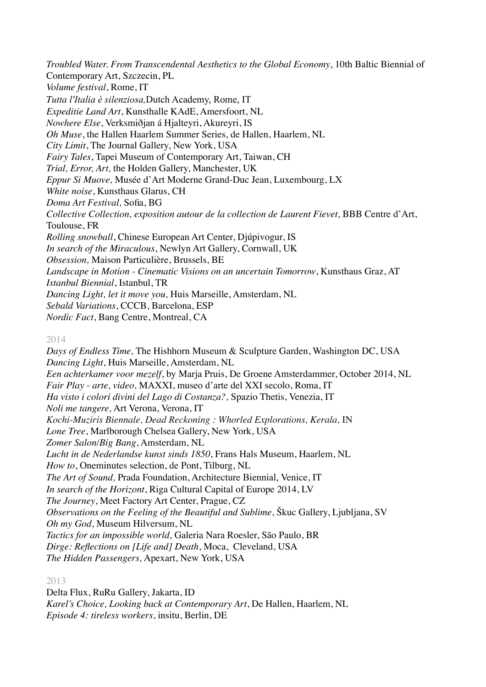*Troubled Water. From Transcendental Aesthetics to the Global Economy*, 10th Baltic Biennial of Contemporary Art, Szczecin, PL *Volume festival*, Rome, IT *Tutta l'Italia è silenziosa,*Dutch Academy, Rome, IT *Expeditie Land Art*, Kunsthalle KAdE, Amersfoort, NL *Nowhere Else*, Verksmiðjan á Hjalteyri, Akureyri, IS *Oh Muse*, the Hallen Haarlem Summer Series, de Hallen, Haarlem, NL *City Limit*, The Journal Gallery, New York, USA *Fairy Tales*, Tapei Museum of Contemporary Art, Taiwan, CH *Trial, Error, Art,* the Holden Gallery, Manchester, UK *Eppur Si Muove,* Musée d'Art Moderne Grand-Duc Jean, Luxembourg, LX *White noise*, Kunsthaus Glarus, CH *Doma Art Festival,* Sofia, BG *Collective Collection, exposition autour de la collection de Laurent Fievet,* BBB Centre d'Art, Toulouse, FR *Rolling snowball*, Chinese European Art Center, Djúpivogur, IS *In search of the Miraculous*, Newlyn Art Gallery, Cornwall, UK *Obsession,* Maison Particulière, Brussels, BE *Landscape in Motion - Cinematic Visions on an uncertain Tomorrow*, Kunsthaus Graz, AT *Istanbul Biennial*, Istanbul, TR *Dancing Light, let it move you,* Huis Marseille, Amsterdam, NL *Sebald Variations*, CCCB, Barcelona, ESP *Nordic Fact*, Bang Centre, Montreal, CA

#### 2014

*Days of Endless Time,* The Hishhorn Museum & Sculpture Garden, Washington DC, USA *Dancing Light*, Huis Marseille, Amsterdam, NL *Een achterkamer voor mezelf*, by Marja Pruis, De Groene Amsterdammer, October 2014, NL *Fair Play - arte, video,* MAXXI, museo d'arte del XXI secolo, Roma, IT *Ha visto i colori divini del Lago di Costanza?,* Spazio Thetis, Venezia, IT *Noli me tangere,* Art Verona, Verona, IT *Kochi-Muziris Biennale, Dead Reckoning : Whorled Explorations, Kerala,* IN *Lone Tree*, Marlborough Chelsea Gallery, New York, USA *Zomer Salon/Big Bang*, Amsterdam, NL *Lucht in de Nederlandse kunst sinds 1850*, Frans Hals Museum, Haarlem, NL *How to*, Oneminutes selection, de Pont, Tilburg, NL *The Art of Sound,* Prada Foundation, Architecture Biennial, Venice, IT *In search of the Horizont*, Riga Cultural Capital of Europe 2014, LV *The Journey*, Meet Factory Art Center, Prague, CZ *Observations on the Feeling of the Beautiful and Sublime*, Škuc Gallery, Ljubljana, SV *Oh my God*, Museum Hilversum, NL *Tactics for an impossible world,* Galeria Nara Roesler, São Paulo, BR *Dirge: Reflections on [Life and] Death*, Moca, Cleveland, USA *The Hidden Passengers,* Apexart, New York, USA

#### 2013

Delta Flux, RuRu Gallery, Jakarta, ID *Karel's Choice, Looking back at Contemporary Art*, De Hallen, Haarlem, NL *Episode 4: tireless workers*, insitu, Berlin, DE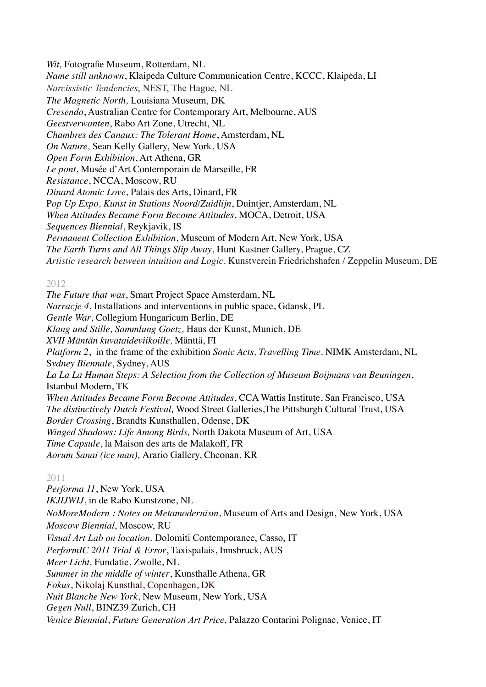*Wit,* Fotografie Museum, Rotterdam, NL *Name still unknown*, Klaipėda Culture Communication Centre, KCCC, Klaipėda, LI *Narcissistic Tendencies*, NEST, The Hague, NL *The Magnetic North,* Louisiana Museum, DK *Cresendo*, Australian Centre for Contemporary Art, Melbourne, AUS *Geestverwanten*, Rabo Art Zone, Utrecht, NL *Chambres des Canaux: The Tolerant Home*, Amsterdam, NL *On Nature,* Sean Kelly Gallery, New York, USA *Open Form Exhibition*, Art Athena, GR *Le pont*, Musée d'Art Contemporain de Marseille, FR *Resistance*, NCCA, Moscow, RU *Dinard Atomic Love*, Palais des Arts, Dinard, FR P*op Up Expo, Kunst in Stations Noord/Zuidlijn*, Duintjer, Amsterdam, NL *When Attitudes Became Form Become Attitudes*, MOCA, Detroit, USA *Sequences Biennial*, Reykjavik, IS *Permanent Collection Exhibition*, Museum of Modern Art, New York, USA *The Earth Turns and All Things Slip Away*, Hunt Kastner Gallery, Prague, CZ *Artistic research between intuition and Logic.* Kunstverein Friedrichshafen / Zeppelin Museum, DE

# 2012

*The Future that was*, Smart Project Space Amsterdam, NL *Narracje 4*, Installations and interventions in public space, Gdansk, PL *Gentle War*, Collegium Hungaricum Berlin, DE *Klang und Stille, Sammlung Goetz,* Haus der Kunst, Munich, DE *XVII Mäntän kuvataideviikoille,* Mänttä, FI *Platform 2*, in the frame of the exhibition *Sonic Acts, Travelling Time.* NIMK Amsterdam, NL S*ydney Biennale*, Sydney, AUS *La La La Human Steps: A Selection from the Collection of Museum Boijmans van Beuningen*, Istanbul Modern, TK *When Attitudes Became Form Become Attitudes*, CCA Wattis Institute, San Francisco, USA *The distinctively Dutch Festival,* Wood Street Galleries,The Pittsburgh Cultural Trust, USA *Border Crossing*, Brandts Kunsthallen, Odense, DK *Winged Shadows: Life Among Birds,* North Dakota Museum of Art, USA *Time Capsule*, la Maison des arts de Malakoff, FR *Aorum Sanai (ice man),* Arario Gallery, Cheonan, KR

# 2011

*Performa 11*, New York, USA *IKJIJWIJ*, in de Rabo Kunstzone, NL *NoMoreModern : Notes on Metamodernism*, Museum of Arts and Design, New York, USA *Moscow Biennial*, Moscow, RU *Visual Art Lab on location*. Dolomiti Contemporanee, Casso, IT *PerformIC 2011 Trial & Error*, Taxispalais, Innsbruck, AUS *Meer Licht,* Fundatie, Zwolle, NL *Summer in the middle of winter*, Kunsthalle Athena, GR *Fokus*, Nikolaj Kunsthal, Copenhagen, DK *Nuit Blanche New York*, New Museum, New York, USA *Gegen Null*, BINZ39 Zurich, CH *Venice Biennial*, *Future Generation Art Price*, Palazzo Contarini Polignac, Venice, IT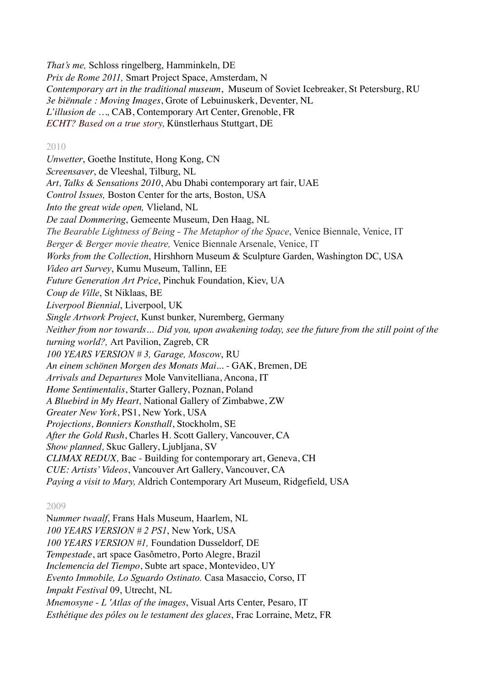*That's me,* Schloss ringelberg, Hamminkeln, DE *Prix de Rome 2011,* Smart Project Space, Amsterdam, N *Contemporary art in the traditional museum*, Museum of Soviet Icebreaker, St Petersburg, RU *3e biënnale : Moving Images*, Grote of Lebuinuskerk, Deventer, NL *L'illusion de …,* CAB, Contemporary Art Center, Grenoble, FR *ECHT? Based on a true story,* Künstlerhaus Stuttgart, DE

#### 2010

*Unwetter*, Goethe Institute, Hong Kong, CN *Screensaver*, de Vleeshal, Tilburg, NL *Art, Talks & Sensations 2010*, Abu Dhabi contemporary art fair, UAE *Control Issues,* Boston Center for the arts, Boston, USA *Into the great wide open,* Vlieland, NL *De zaal Dommering*, Gemeente Museum, Den Haag, NL *The Bearable Lightness of Being - The Metaphor of the Space*, Venice Biennale, Venice, IT *Berger & Berger movie theatre,* Venice Biennale Arsenale, Venice, IT *Works from the Collection*, Hirshhorn Museum & Sculpture Garden, Washington DC, USA *Video art Survey*, Kumu Museum, Tallinn, EE *Future Generation Art Price*, Pinchuk Foundation, Kiev, UA *Coup de Ville*, St Niklaas, BE *Liverpool Biennial*, Liverpool, UK *Single Artwork Project*, Kunst bunker, Nuremberg, Germany *Neither from nor towards… Did you, upon awakening today, see the future from the still point of the turning world?,* Art Pavilion, Zagreb, CR *100 YEARS VERSION # 3, Garage, Moscow*, RU *An einem schönen Morgen des Monats Mai...* - GAK, Bremen, DE *Arrivals and Departures* Mole Vanvitelliana, Ancona, IT *Home Sentimentalis*, Starter Gallery, Poznan, Poland *A Bluebird in My Heart,* National Gallery of Zimbabwe, ZW *Greater New York*, PS1, New York, USA *Projections, Bonniers Konsthall*, Stockholm, SE *After the Gold Rush*, Charles H. Scott Gallery, Vancouver, CA *Show planned,* Skuc Gallery, Ljubljana, SV *CLIMAX REDUX,* Bac - Building for contemporary art, Geneva, CH *CUE: Artists' Videos*, Vancouver Art Gallery, Vancouver, CA *Paying a visit to Mary,* Aldrich Contemporary Art Museum, Ridgefield, USA

# 2009

N*ummer twaalf*, Frans Hals Museum, Haarlem, NL *100 YEARS VERSION # 2 PS1*, New York, USA *100 YEARS VERSION #1,* Foundation Dusseldorf, DE *Tempestade*, art space Gasômetro, Porto Alegre, Brazil *Inclemencia del Tiempo*, Subte art space, Montevideo, UY *Evento Immobile, Lo Sguardo Ostinato.* Casa Masaccio, Corso, IT *Impakt Festival* 09, Utrecht, NL *Mnemosyne - L 'Atlas of the images*, Visual Arts Center, Pesaro, IT *Esthétique des pôles ou le testament des glaces*, Frac Lorraine, Metz, FR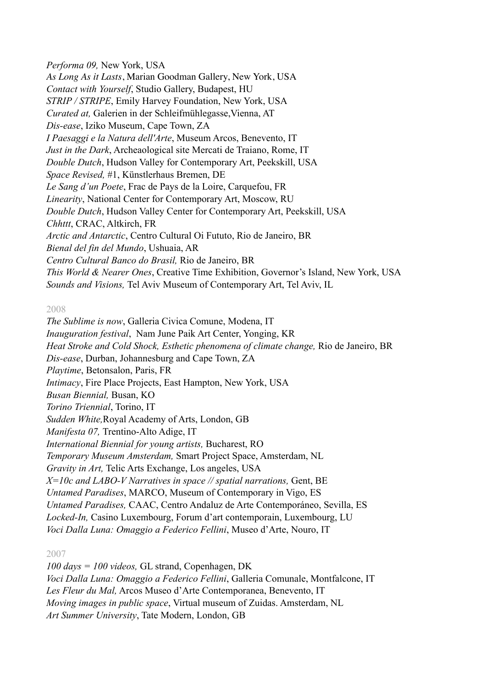*Performa 09,* New York, USA *As Long As it Lasts*, Marian Goodman Gallery, New York, USA *Contact with Yourself*, Studio Gallery, Budapest, HU *STRIP / STRIPE*, Emily Harvey Foundation, New York, USA *Curated at,* Galerien in der Schleifmühlegasse,Vienna, AT *Dis-ease*, Iziko Museum, Cape Town, ZA *I Paesaggi e la Natura dell'Arte*, Museum Arcos, Benevento, IT *Just in the Dark*, Archeaological site Mercati de Traiano, Rome, IT *Double Dutch*, Hudson Valley for Contemporary Art, Peekskill, USA *Space Revised,* #1, Künstlerhaus Bremen, DE *Le Sang d'un Poete*, Frac de Pays de la Loire, Carquefou, FR *Linearity*, National Center for Contemporary Art, Moscow, RU *Double Dutch*, Hudson Valley Center for Contemporary Art, Peekskill, USA *Chhttt*, CRAC, Altkirch, FR *Arctic and Antarctic*, Centro Cultural Oi Fututo, Rio de Janeiro, BR *Bienal del fin del Mundo*, Ushuaia, AR *Centro Cultural Banco do Brasil,* Rio de Janeiro, BR *This World & Nearer Ones*, Creative Time Exhibition, Governor's Island, New York, USA *Sounds and Visions,* Tel Aviv Museum of Contemporary Art, Tel Aviv, IL

#### 2008

*The Sublime is now*, Galleria Civica Comune, Modena, IT *Inauguration festival*, Nam June Paik Art Center, Yonging, KR *Heat Stroke and Cold Shock, Esthetic phenomena of climate change,* Rio de Janeiro, BR *Dis-ease*, Durban, Johannesburg and Cape Town, ZA *Playtime*, Betonsalon, Paris, FR *Intimacy*, Fire Place Projects, East Hampton, New York, USA *Busan Biennial,* Busan, KO *Torino Triennial*, Torino, IT *Sudden White,*Royal Academy of Arts, London, GB *Manifesta 07,* Trentino-Alto Adige, IT *International Biennial for young artists,* Bucharest, RO *Temporary Museum Amsterdam,* Smart Project Space, Amsterdam, NL *Gravity in Art,* Telic Arts Exchange, Los angeles, USA *X=10c and LABO-V Narratives in space // spatial narrations,* Gent, BE *Untamed Paradises*, MARCO, Museum of Contemporary in Vigo, ES *Untamed Paradises,* CAAC, Centro Andaluz de Arte Contemporáneo, Sevilla, ES *Locked-In,* Casino Luxembourg, Forum d'art contemporain, Luxembourg, LU *Voci Dalla Luna: Omaggio a Federico Fellini*, Museo d'Arte, Nouro, IT

#### 2007

*100 days = 100 videos,* GL strand, Copenhagen, DK *Voci Dalla Luna: Omaggio a Federico Fellini*, Galleria Comunale, Montfalcone, IT *Les Fleur du Mal,* Arcos Museo d'Arte Contemporanea, Benevento, IT *Moving images in public space*, Virtual museum of Zuidas. Amsterdam, NL *Art Summer University*, Tate Modern, London, GB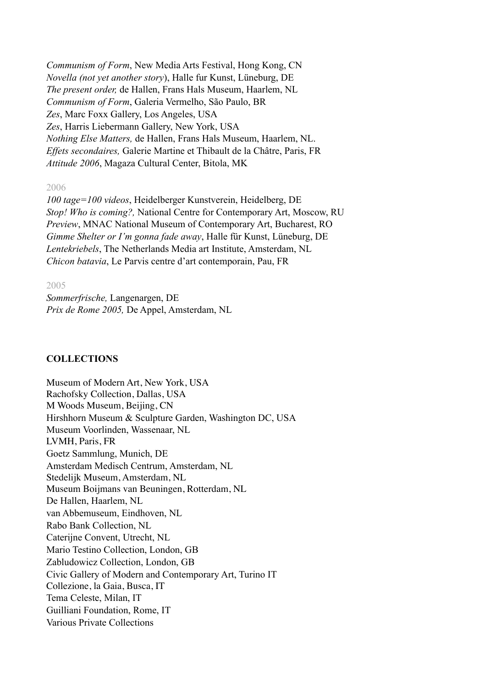*Communism of Form*, New Media Arts Festival, Hong Kong, CN *Novella (not yet another story*), Halle fur Kunst, Lüneburg, DE *The present order,* de Hallen, Frans Hals Museum, Haarlem, NL *Communism of Form*, Galeria Vermelho, São Paulo, BR *Zes*, Marc Foxx Gallery, Los Angeles, USA *Zes*, Harris Liebermann Gallery, New York, USA *Nothing Else Matters,* de Hallen, Frans Hals Museum, Haarlem, NL. *Effets secondaires,* Galerie Martine et Thibault de la Châtre, Paris, FR *Attitude 2006*, Magaza Cultural Center, Bitola, MK

#### 2006

*100 tage=100 videos*, Heidelberger Kunstverein, Heidelberg, DE *Stop! Who is coming?,* National Centre for Contemporary Art, Moscow, RU *Preview*, MNAC National Museum of Contemporary Art, Bucharest, RO *Gimme Shelter or I'm gonna fade away*, Halle für Kunst, Lüneburg, DE *Lentekriebels*, The Netherlands Media art Institute, Amsterdam, NL *Chicon batavia*, Le Parvis centre d'art contemporain, Pau, FR

#### 2005

*Sommerfrische,* Langenargen, DE *Prix de Rome 2005,* De Appel, Amsterdam, NL

#### **COLLECTIONS**

Museum of Modern Art, New York, USA Rachofsky Collection, Dallas, USA M Woods Museum, Beijing, CN Hirshhorn Museum & Sculpture Garden, Washington DC, USA Museum Voorlinden, Wassenaar, NL LVMH, Paris, FR Goetz Sammlung, Munich, DE Amsterdam Medisch Centrum, Amsterdam, NL Stedelijk Museum, Amsterdam, NL Museum Boijmans van Beuningen, Rotterdam, NL De Hallen, Haarlem, NL van Abbemuseum, Eindhoven, NL Rabo Bank Collection, NL Caterijne Convent, Utrecht, NL Mario Testino Collection, London, GB Zabludowicz Collection, London, GB Civic Gallery of Modern and Contemporary Art, Turino IT Collezione, la Gaia, Busca, IT Tema Celeste, Milan, IT Guilliani Foundation, Rome, IT Various Private Collections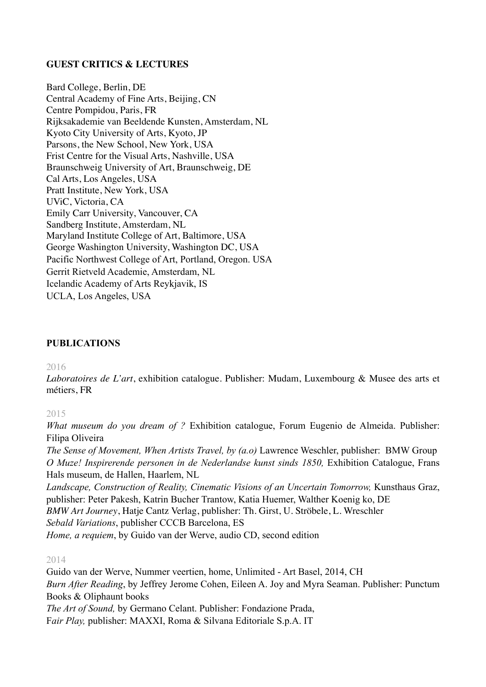# **GUEST CRITICS & LECTURES**

Bard College, Berlin, DE Central Academy of Fine Arts, Beijing, CN Centre Pompidou, Paris, FR Rijksakademie van Beeldende Kunsten, Amsterdam, NL Kyoto City University of Arts, Kyoto, JP Parsons, the New School, New York, USA Frist Centre for the Visual Arts, Nashville, USA Braunschweig University of Art, Braunschweig, DE Cal Arts, Los Angeles, USA Pratt Institute, New York, USA UViC, Victoria, CA Emily Carr University, Vancouver, CA Sandberg Institute, Amsterdam, NL Maryland Institute College of Art, Baltimore, USA George Washington University, Washington DC, USA Pacific Northwest College of Art, Portland, Oregon. USA Gerrit Rietveld Academie, Amsterdam, NL Icelandic Academy of Arts Reykjavik, IS UCLA, Los Angeles, USA

# **PUBLICATIONS**

#### 2016

*Laboratoires de L'art*, exhibition catalogue. Publisher: Mudam, Luxembourg & Musee des arts et métiers, FR

2015

*What museum do you dream of ?* Exhibition catalogue, Forum Eugenio de Almeida. Publisher: Filipa Oliveira

*The Sense of Movement, When Artists Travel, by (a.o)* Lawrence Weschler, publisher: BMW Group *O Muze! Inspirerende personen in de Nederlandse kunst sinds 1850*, Exhibition Catalogue, Frans Hals museum, de Hallen, Haarlem, NL

*Landscape, Construction of Reality, Cinematic Visions of an Uncertain Tomorrow, Kunsthaus Graz,* publisher: Peter Pakesh, Katrin Bucher Trantow, Katia Huemer, Walther Koenig ko, DE *BMW Art Journey*, Hatje Cantz Verlag, publisher: Th. Girst, U. Ströbele, L. Wreschler

*Sebald Variations*, publisher CCCB Barcelona, ES

*Home, a requiem*, by Guido van der Werve, audio CD, second edition

#### 2014

Guido van der Werve, Nummer veertien, home, Unlimited - Art Basel, 2014, CH *Burn After Reading*, by Jeffrey Jerome Cohen, Eileen A. Joy and Myra Seaman. Publisher: Punctum Books & Oliphaunt books *The Art of Sound,* by Germano Celant. Publisher: Fondazione Prada, F*air Play,* publisher: MAXXI, Roma & Silvana Editoriale S.p.A. IT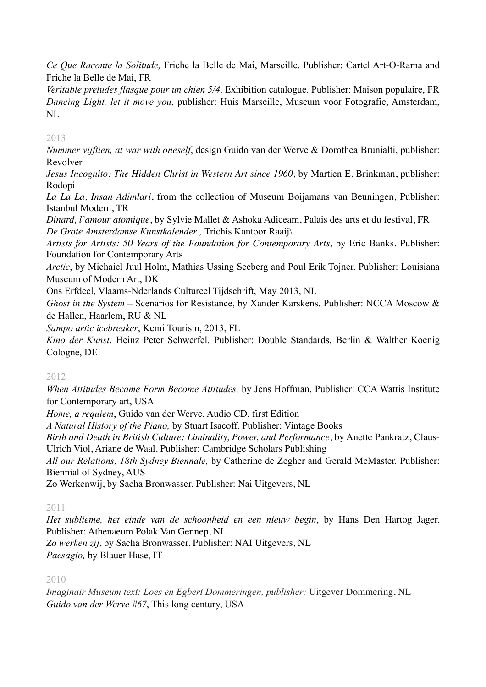*Ce Que Raconte la Solitude,* Friche la Belle de Mai, Marseille. Publisher: Cartel Art-O-Rama and Friche la Belle de Mai, FR

*Veritable preludes flasque pour un chien 5/4*. Exhibition catalogue. Publisher: Maison populaire, FR *Dancing Light, let it move you*, publisher: Huis Marseille, Museum voor Fotografie, Amsterdam, NL

# 2013

*Nummer vijftien, at war with oneself*, design Guido van der Werve & Dorothea Brunialti, publisher: Revolver

*Jesus Incognito: The Hidden Christ in Western Art since 1960*, by [Martien E. Brinkman,](http://www.amazon.com/s/ref=ntt_athr_dp_sr_1?ie=UTF8&field-author=Martien+E.+Brinkman&search-alias=books&text=Martien+E.+Brinkman&sort=relevancerank) publisher: Rodopi

*La La La, Insan Adimlari*, from the collection of Museum Boijamans van Beuningen, Publisher: Istanbul Modern, TR

*Dinard, l'amour atomique*, by Sylvie Mallet & Ashoka Adiceam, Palais des arts et du festival, FR *De Grote Amsterdamse Kunstkalender ,* Trichis Kantoor Raaij\

*Artists for Artists: 50 Years of the Foundation for Contemporary Arts*, by [Eric Banks](http://www.amazon.com/s/ref=ntt_athr_dp_sr_1?ie=UTF8&field-author=Eric+Banks&search-alias=books&text=Eric+Banks&sort=relevancerank). Publisher: Foundation for Contemporary Arts

*Arctic*, by Michaiel Juul Holm, Mathias Ussing Seeberg and Poul Erik Tojner. Publisher: Louisiana Museum of Modern Art, DK

Ons Erfdeel, Vlaams-Nderlands Cultureel Tijdschrift, May 2013, NL

*Ghost in the System* – Scenarios for Resistance, by Xander Karskens. Publisher: NCCA Moscow & de Hallen, Haarlem, RU & NL

*Sampo artic icebreaker*, Kemi Tourism, 2013, FL

*Kino der Kunst*, Heinz Peter Schwerfel. Publisher: Double Standards, Berlin & Walther Koenig Cologne, DE

# 2012

*When Attitudes Became Form Become Attitudes,* by Jens Hoffman. Publisher: CCA Wattis Institute for Contemporary art, USA

*Home, a requiem*, Guido van der Werve, Audio CD, first Edition

*A Natural History of the Piano,* by Stuart Isacoff. Publisher: Vintage Books

*Birth and Death in British Culture: Liminality, Power, and Performance*, by [Anette Pankratz,](http://www.amazon.com/s/ref=ntt_athr_dp_sr_1?ie=UTF8&field-author=Anette+Pankratz&search-alias=books&text=Anette+Pankratz&sort=relevancerank) [Claus-](http://www.amazon.com/s/ref=ntt_athr_dp_sr_2?ie=UTF8&field-author=Claus-Ulrich+Viol&search-alias=books&text=Claus-Ulrich+Viol&sort=relevancerank)[Ulrich Viol,](http://www.amazon.com/s/ref=ntt_athr_dp_sr_2?ie=UTF8&field-author=Claus-Ulrich+Viol&search-alias=books&text=Claus-Ulrich+Viol&sort=relevancerank) [Ariane de Waal](http://www.amazon.com/s/ref=ntt_athr_dp_sr_3?ie=UTF8&field-author=Ariane+de+Waal&search-alias=books&text=Ariane+de+Waal&sort=relevancerank). Publisher: Cambridge Scholars Publishing

*All our Relations, 18th Sydney Biennale,* by Catherine de Zegher and Gerald McMaster. Publisher: Biennial of Sydney, AUS

Zo Werkenwij, by Sacha Bronwasser. Publisher: Nai Uitgevers, NL

# 2011

*Het sublieme, het einde van de schoonheid en een nieuw begin*, by Hans Den Hartog Jager. Publisher: Athenaeum Polak Van Gennep, NL

*Zo werken zij*, by Sacha Bronwasser. Publisher: NAI Uitgevers, NL *Paesagio,* by Blauer Hase, IT

# 2010

*Imaginair Museum text: Loes en Egbert Dommeringen, publisher:* Uitgever Dommering, NL *Guido van der Werve #67*, This long century, USA